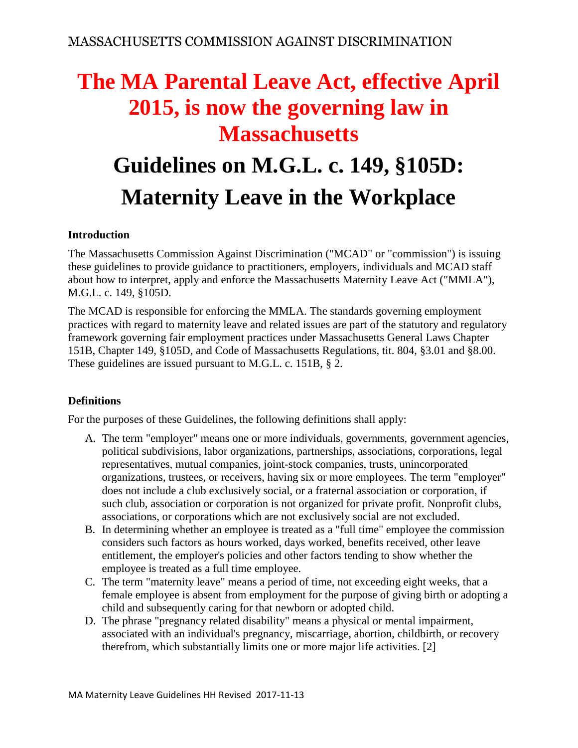# **The MA Parental Leave Act, effective April 2015, is now the governing law in Massachusetts**

## **Guidelines on M.G.L. c. 149, §105D: Maternity Leave in the Workplace**

#### **Introduction**

The Massachusetts Commission Against Discrimination ("MCAD" or "commission") is issuing these guidelines to provide guidance to practitioners, employers, individuals and MCAD staff about how to interpret, apply and enforce the Massachusetts Maternity Leave Act ("MMLA"), M.G.L. c. 149, §105D.

The MCAD is responsible for enforcing the MMLA. The standards governing employment practices with regard to maternity leave and related issues are part of the statutory and regulatory framework governing fair employment practices under Massachusetts General Laws Chapter 151B, Chapter 149, §105D, and Code of Massachusetts Regulations, tit. 804, §3.01 and §8.00. These guidelines are issued pursuant to M.G.L. c. 151B, § 2.

#### **Definitions**

For the purposes of these Guidelines, the following definitions shall apply:

- A. The term "employer" means one or more individuals, governments, government agencies, political subdivisions, labor organizations, partnerships, associations, corporations, legal representatives, mutual companies, joint-stock companies, trusts, unincorporated organizations, trustees, or receivers, having six or more employees. The term "employer" does not include a club exclusively social, or a fraternal association or corporation, if such club, association or corporation is not organized for private profit. Nonprofit clubs, associations, or corporations which are not exclusively social are not excluded.
- B. In determining whether an employee is treated as a "full time" employee the commission considers such factors as hours worked, days worked, benefits received, other leave entitlement, the employer's policies and other factors tending to show whether the employee is treated as a full time employee.
- C. The term "maternity leave" means a period of time, not exceeding eight weeks, that a female employee is absent from employment for the purpose of giving birth or adopting a child and subsequently caring for that newborn or adopted child.
- D. The phrase "pregnancy related disability" means a physical or mental impairment, associated with an individual's pregnancy, miscarriage, abortion, childbirth, or recovery therefrom, which substantially limits one or more major life activities. [2]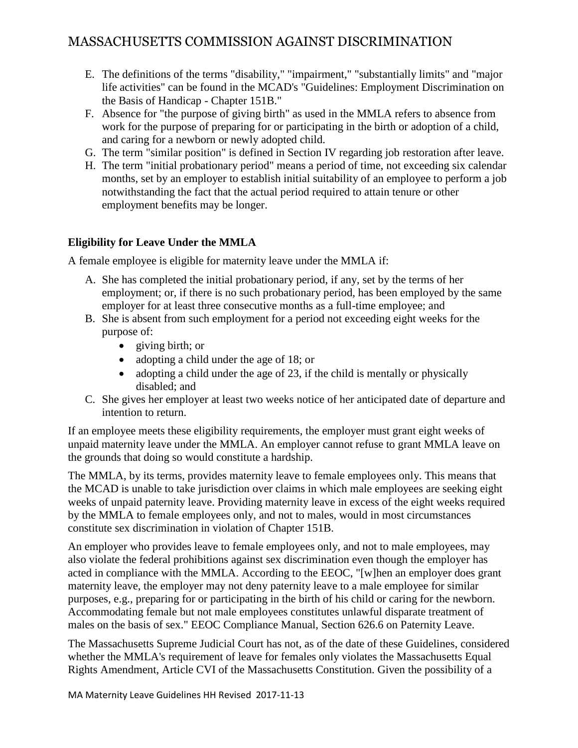- E. The definitions of the terms "disability," "impairment," "substantially limits" and "major life activities" can be found in the MCAD's "Guidelines: Employment Discrimination on the Basis of Handicap - Chapter 151B."
- F. Absence for "the purpose of giving birth" as used in the MMLA refers to absence from work for the purpose of preparing for or participating in the birth or adoption of a child, and caring for a newborn or newly adopted child.
- G. The term "similar position" is defined in Section IV regarding job restoration after leave.
- H. The term "initial probationary period" means a period of time, not exceeding six calendar months, set by an employer to establish initial suitability of an employee to perform a job notwithstanding the fact that the actual period required to attain tenure or other employment benefits may be longer.

#### **Eligibility for Leave Under the MMLA**

A female employee is eligible for maternity leave under the MMLA if:

- A. She has completed the initial probationary period, if any, set by the terms of her employment; or, if there is no such probationary period, has been employed by the same employer for at least three consecutive months as a full-time employee; and
- B. She is absent from such employment for a period not exceeding eight weeks for the purpose of:
	- giving birth; or
	- adopting a child under the age of 18; or
	- adopting a child under the age of 23, if the child is mentally or physically disabled; and
- C. She gives her employer at least two weeks notice of her anticipated date of departure and intention to return.

If an employee meets these eligibility requirements, the employer must grant eight weeks of unpaid maternity leave under the MMLA. An employer cannot refuse to grant MMLA leave on the grounds that doing so would constitute a hardship.

The MMLA, by its terms, provides maternity leave to female employees only. This means that the MCAD is unable to take jurisdiction over claims in which male employees are seeking eight weeks of unpaid paternity leave. Providing maternity leave in excess of the eight weeks required by the MMLA to female employees only, and not to males, would in most circumstances constitute sex discrimination in violation of Chapter 151B.

An employer who provides leave to female employees only, and not to male employees, may also violate the federal prohibitions against sex discrimination even though the employer has acted in compliance with the MMLA. According to the EEOC, "[w]hen an employer does grant maternity leave, the employer may not deny paternity leave to a male employee for similar purposes, e.g., preparing for or participating in the birth of his child or caring for the newborn. Accommodating female but not male employees constitutes unlawful disparate treatment of males on the basis of sex." EEOC Compliance Manual, Section 626.6 on Paternity Leave.

The Massachusetts Supreme Judicial Court has not, as of the date of these Guidelines, considered whether the MMLA's requirement of leave for females only violates the Massachusetts Equal Rights Amendment, Article CVI of the Massachusetts Constitution. Given the possibility of a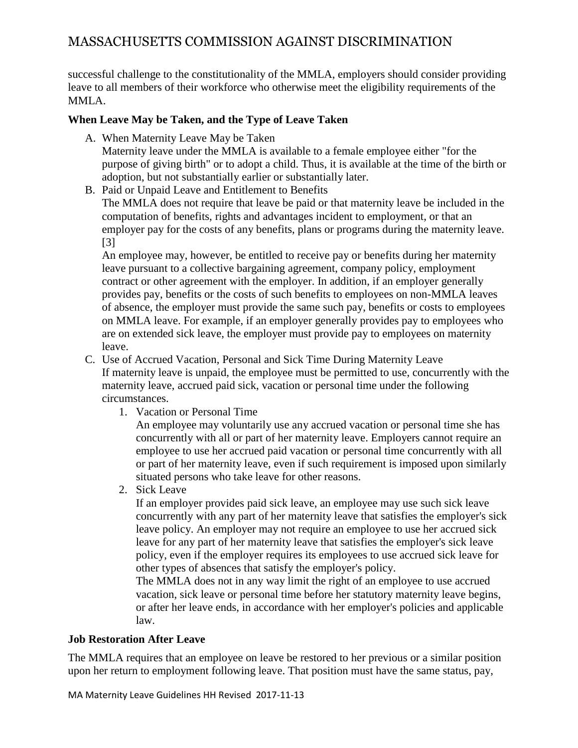successful challenge to the constitutionality of the MMLA, employers should consider providing leave to all members of their workforce who otherwise meet the eligibility requirements of the MMLA.

#### **When Leave May be Taken, and the Type of Leave Taken**

A. When Maternity Leave May be Taken

Maternity leave under the MMLA is available to a female employee either "for the purpose of giving birth" or to adopt a child. Thus, it is available at the time of the birth or adoption, but not substantially earlier or substantially later.

B. Paid or Unpaid Leave and Entitlement to Benefits

The MMLA does not require that leave be paid or that maternity leave be included in the computation of benefits, rights and advantages incident to employment, or that an employer pay for the costs of any benefits, plans or programs during the maternity leave. [3]

An employee may, however, be entitled to receive pay or benefits during her maternity leave pursuant to a collective bargaining agreement, company policy, employment contract or other agreement with the employer. In addition, if an employer generally provides pay, benefits or the costs of such benefits to employees on non-MMLA leaves of absence, the employer must provide the same such pay, benefits or costs to employees on MMLA leave. For example, if an employer generally provides pay to employees who are on extended sick leave, the employer must provide pay to employees on maternity leave.

- C. Use of Accrued Vacation, Personal and Sick Time During Maternity Leave If maternity leave is unpaid, the employee must be permitted to use, concurrently with the maternity leave, accrued paid sick, vacation or personal time under the following circumstances.
	- 1. Vacation or Personal Time

An employee may voluntarily use any accrued vacation or personal time she has concurrently with all or part of her maternity leave. Employers cannot require an employee to use her accrued paid vacation or personal time concurrently with all or part of her maternity leave, even if such requirement is imposed upon similarly situated persons who take leave for other reasons.

2. Sick Leave

If an employer provides paid sick leave, an employee may use such sick leave concurrently with any part of her maternity leave that satisfies the employer's sick leave policy. An employer may not require an employee to use her accrued sick leave for any part of her maternity leave that satisfies the employer's sick leave policy, even if the employer requires its employees to use accrued sick leave for other types of absences that satisfy the employer's policy.

The MMLA does not in any way limit the right of an employee to use accrued vacation, sick leave or personal time before her statutory maternity leave begins, or after her leave ends, in accordance with her employer's policies and applicable law.

#### **Job Restoration After Leave**

The MMLA requires that an employee on leave be restored to her previous or a similar position upon her return to employment following leave. That position must have the same status, pay,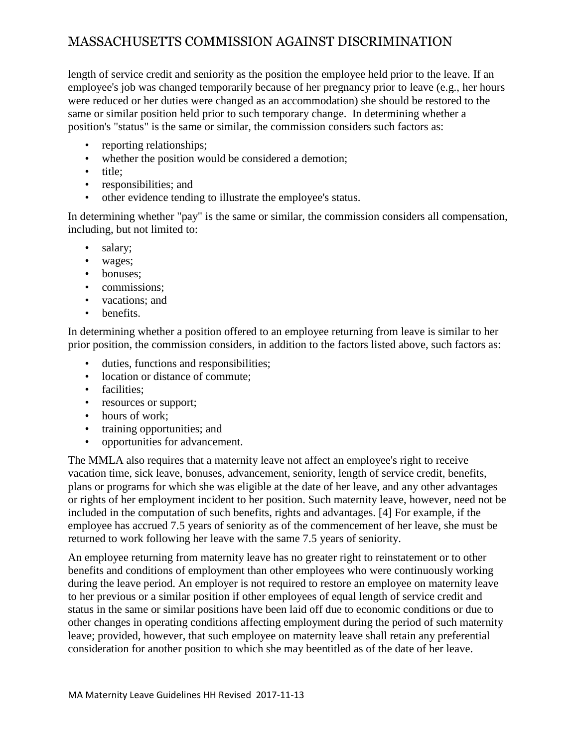length of service credit and seniority as the position the employee held prior to the leave. If an employee's job was changed temporarily because of her pregnancy prior to leave (e.g., her hours were reduced or her duties were changed as an accommodation) she should be restored to the same or similar position held prior to such temporary change. In determining whether a position's "status" is the same or similar, the commission considers such factors as:

- reporting relationships;
- whether the position would be considered a demotion;
- title;
- responsibilities; and
- other evidence tending to illustrate the employee's status.

In determining whether "pay" is the same or similar, the commission considers all compensation, including, but not limited to:

- salary;
- wages;
- bonuses:
- commissions:
- vacations; and
- benefits.

In determining whether a position offered to an employee returning from leave is similar to her prior position, the commission considers, in addition to the factors listed above, such factors as:

- duties, functions and responsibilities;
- location or distance of commute:
- facilities;
- resources or support;
- hours of work:
- training opportunities; and
- opportunities for advancement.

The MMLA also requires that a maternity leave not affect an employee's right to receive vacation time, sick leave, bonuses, advancement, seniority, length of service credit, benefits, plans or programs for which she was eligible at the date of her leave, and any other advantages or rights of her employment incident to her position. Such maternity leave, however, need not be included in the computation of such benefits, rights and advantages. [4] For example, if the employee has accrued 7.5 years of seniority as of the commencement of her leave, she must be returned to work following her leave with the same 7.5 years of seniority.

An employee returning from maternity leave has no greater right to reinstatement or to other benefits and conditions of employment than other employees who were continuously working during the leave period. An employer is not required to restore an employee on maternity leave to her previous or a similar position if other employees of equal length of service credit and status in the same or similar positions have been laid off due to economic conditions or due to other changes in operating conditions affecting employment during the period of such maternity leave; provided, however, that such employee on maternity leave shall retain any preferential consideration for another position to which she may beentitled as of the date of her leave.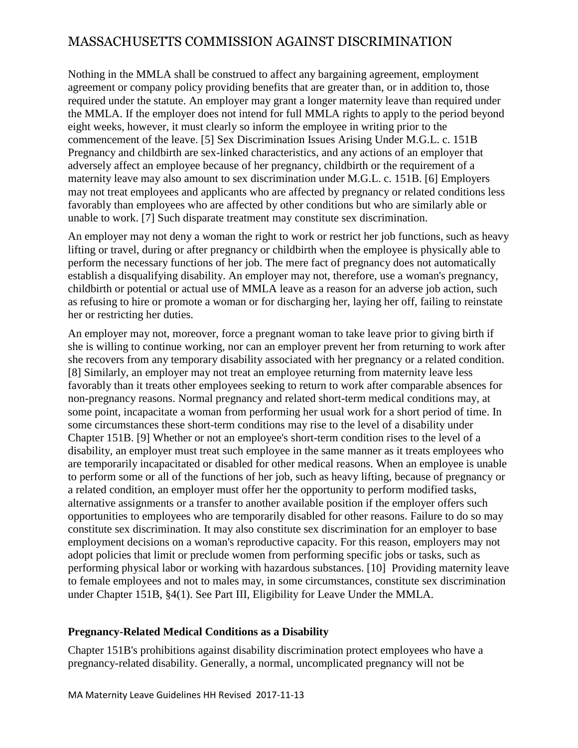Nothing in the MMLA shall be construed to affect any bargaining agreement, employment agreement or company policy providing benefits that are greater than, or in addition to, those required under the statute. An employer may grant a longer maternity leave than required under the MMLA. If the employer does not intend for full MMLA rights to apply to the period beyond eight weeks, however, it must clearly so inform the employee in writing prior to the commencement of the leave. [5] Sex Discrimination Issues Arising Under M.G.L. c. 151B Pregnancy and childbirth are sex-linked characteristics, and any actions of an employer that adversely affect an employee because of her pregnancy, childbirth or the requirement of a maternity leave may also amount to sex discrimination under M.G.L. c. 151B. [6] Employers may not treat employees and applicants who are affected by pregnancy or related conditions less favorably than employees who are affected by other conditions but who are similarly able or unable to work. [7] Such disparate treatment may constitute sex discrimination.

An employer may not deny a woman the right to work or restrict her job functions, such as heavy lifting or travel, during or after pregnancy or childbirth when the employee is physically able to perform the necessary functions of her job. The mere fact of pregnancy does not automatically establish a disqualifying disability. An employer may not, therefore, use a woman's pregnancy, childbirth or potential or actual use of MMLA leave as a reason for an adverse job action, such as refusing to hire or promote a woman or for discharging her, laying her off, failing to reinstate her or restricting her duties.

An employer may not, moreover, force a pregnant woman to take leave prior to giving birth if she is willing to continue working, nor can an employer prevent her from returning to work after she recovers from any temporary disability associated with her pregnancy or a related condition. [8] Similarly, an employer may not treat an employee returning from maternity leave less favorably than it treats other employees seeking to return to work after comparable absences for non-pregnancy reasons. Normal pregnancy and related short-term medical conditions may, at some point, incapacitate a woman from performing her usual work for a short period of time. In some circumstances these short-term conditions may rise to the level of a disability under Chapter 151B. [9] Whether or not an employee's short-term condition rises to the level of a disability, an employer must treat such employee in the same manner as it treats employees who are temporarily incapacitated or disabled for other medical reasons. When an employee is unable to perform some or all of the functions of her job, such as heavy lifting, because of pregnancy or a related condition, an employer must offer her the opportunity to perform modified tasks, alternative assignments or a transfer to another available position if the employer offers such opportunities to employees who are temporarily disabled for other reasons. Failure to do so may constitute sex discrimination. It may also constitute sex discrimination for an employer to base employment decisions on a woman's reproductive capacity. For this reason, employers may not adopt policies that limit or preclude women from performing specific jobs or tasks, such as performing physical labor or working with hazardous substances. [10] Providing maternity leave to female employees and not to males may, in some circumstances, constitute sex discrimination under Chapter 151B, §4(1). See Part III, Eligibility for Leave Under the MMLA.

#### **Pregnancy-Related Medical Conditions as a Disability**

Chapter 151B's prohibitions against disability discrimination protect employees who have a pregnancy-related disability. Generally, a normal, uncomplicated pregnancy will not be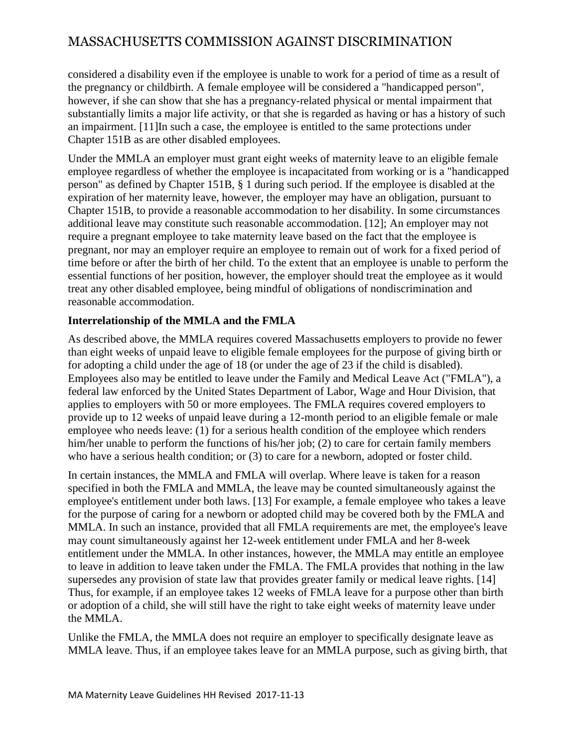considered a disability even if the employee is unable to work for a period of time as a result of the pregnancy or childbirth. A female employee will be considered a "handicapped person", however, if she can show that she has a pregnancy-related physical or mental impairment that substantially limits a major life activity, or that she is regarded as having or has a history of such an impairment. [11]In such a case, the employee is entitled to the same protections under Chapter 151B as are other disabled employees.

Under the MMLA an employer must grant eight weeks of maternity leave to an eligible female employee regardless of whether the employee is incapacitated from working or is a "handicapped person" as defined by Chapter 151B, § 1 during such period. If the employee is disabled at the expiration of her maternity leave, however, the employer may have an obligation, pursuant to Chapter 151B, to provide a reasonable accommodation to her disability. In some circumstances additional leave may constitute such reasonable accommodation. [12]; An employer may not require a pregnant employee to take maternity leave based on the fact that the employee is pregnant, nor may an employer require an employee to remain out of work for a fixed period of time before or after the birth of her child. To the extent that an employee is unable to perform the essential functions of her position, however, the employer should treat the employee as it would treat any other disabled employee, being mindful of obligations of nondiscrimination and reasonable accommodation.

#### **Interrelationship of the MMLA and the FMLA**

As described above, the MMLA requires covered Massachusetts employers to provide no fewer than eight weeks of unpaid leave to eligible female employees for the purpose of giving birth or for adopting a child under the age of 18 (or under the age of 23 if the child is disabled). Employees also may be entitled to leave under the Family and Medical Leave Act ("FMLA"), a federal law enforced by the United States Department of Labor, Wage and Hour Division, that applies to employers with 50 or more employees. The FMLA requires covered employers to provide up to 12 weeks of unpaid leave during a 12-month period to an eligible female or male employee who needs leave: (1) for a serious health condition of the employee which renders him/her unable to perform the functions of his/her job; (2) to care for certain family members who have a serious health condition; or (3) to care for a newborn, adopted or foster child.

In certain instances, the MMLA and FMLA will overlap. Where leave is taken for a reason specified in both the FMLA and MMLA, the leave may be counted simultaneously against the employee's entitlement under both laws. [13] For example, a female employee who takes a leave for the purpose of caring for a newborn or adopted child may be covered both by the FMLA and MMLA. In such an instance, provided that all FMLA requirements are met, the employee's leave may count simultaneously against her 12-week entitlement under FMLA and her 8-week entitlement under the MMLA. In other instances, however, the MMLA may entitle an employee to leave in addition to leave taken under the FMLA. The FMLA provides that nothing in the law supersedes any provision of state law that provides greater family or medical leave rights. [14] Thus, for example, if an employee takes 12 weeks of FMLA leave for a purpose other than birth or adoption of a child, she will still have the right to take eight weeks of maternity leave under the MMLA.

Unlike the FMLA, the MMLA does not require an employer to specifically designate leave as MMLA leave. Thus, if an employee takes leave for an MMLA purpose, such as giving birth, that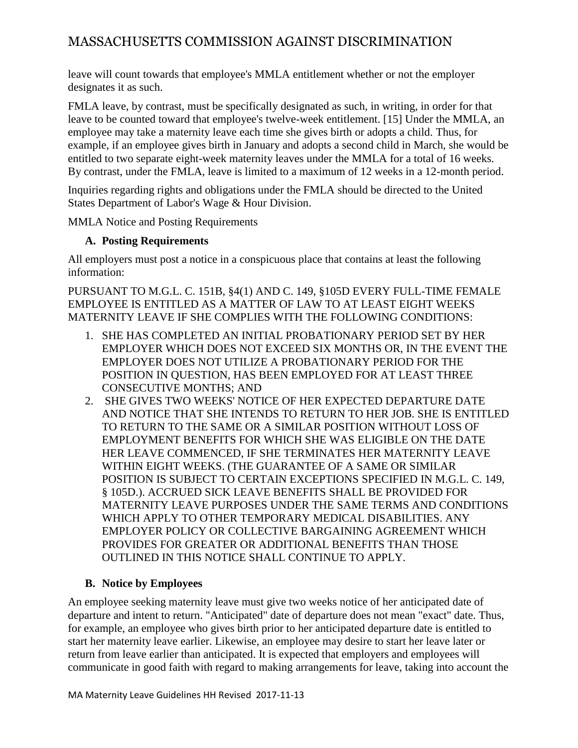leave will count towards that employee's MMLA entitlement whether or not the employer designates it as such.

FMLA leave, by contrast, must be specifically designated as such, in writing, in order for that leave to be counted toward that employee's twelve-week entitlement. [15] Under the MMLA, an employee may take a maternity leave each time she gives birth or adopts a child. Thus, for example, if an employee gives birth in January and adopts a second child in March, she would be entitled to two separate eight-week maternity leaves under the MMLA for a total of 16 weeks. By contrast, under the FMLA, leave is limited to a maximum of 12 weeks in a 12-month period.

Inquiries regarding rights and obligations under the FMLA should be directed to the United States Department of Labor's Wage & Hour Division.

MMLA Notice and Posting Requirements

#### **A. Posting Requirements**

All employers must post a notice in a conspicuous place that contains at least the following information:

PURSUANT TO M.G.L. C. 151B, §4(1) AND C. 149, §105D EVERY FULL-TIME FEMALE EMPLOYEE IS ENTITLED AS A MATTER OF LAW TO AT LEAST EIGHT WEEKS MATERNITY LEAVE IF SHE COMPLIES WITH THE FOLLOWING CONDITIONS:

- 1. SHE HAS COMPLETED AN INITIAL PROBATIONARY PERIOD SET BY HER EMPLOYER WHICH DOES NOT EXCEED SIX MONTHS OR, IN THE EVENT THE EMPLOYER DOES NOT UTILIZE A PROBATIONARY PERIOD FOR THE POSITION IN QUESTION, HAS BEEN EMPLOYED FOR AT LEAST THREE CONSECUTIVE MONTHS; AND
- 2. SHE GIVES TWO WEEKS' NOTICE OF HER EXPECTED DEPARTURE DATE AND NOTICE THAT SHE INTENDS TO RETURN TO HER JOB. SHE IS ENTITLED TO RETURN TO THE SAME OR A SIMILAR POSITION WITHOUT LOSS OF EMPLOYMENT BENEFITS FOR WHICH SHE WAS ELIGIBLE ON THE DATE HER LEAVE COMMENCED, IF SHE TERMINATES HER MATERNITY LEAVE WITHIN EIGHT WEEKS. (THE GUARANTEE OF A SAME OR SIMILAR POSITION IS SUBJECT TO CERTAIN EXCEPTIONS SPECIFIED IN M.G.L. C. 149, § 105D.). ACCRUED SICK LEAVE BENEFITS SHALL BE PROVIDED FOR MATERNITY LEAVE PURPOSES UNDER THE SAME TERMS AND CONDITIONS WHICH APPLY TO OTHER TEMPORARY MEDICAL DISABILITIES. ANY EMPLOYER POLICY OR COLLECTIVE BARGAINING AGREEMENT WHICH PROVIDES FOR GREATER OR ADDITIONAL BENEFITS THAN THOSE OUTLINED IN THIS NOTICE SHALL CONTINUE TO APPLY.

#### **B. Notice by Employees**

An employee seeking maternity leave must give two weeks notice of her anticipated date of departure and intent to return. "Anticipated" date of departure does not mean "exact" date. Thus, for example, an employee who gives birth prior to her anticipated departure date is entitled to start her maternity leave earlier. Likewise, an employee may desire to start her leave later or return from leave earlier than anticipated. It is expected that employers and employees will communicate in good faith with regard to making arrangements for leave, taking into account the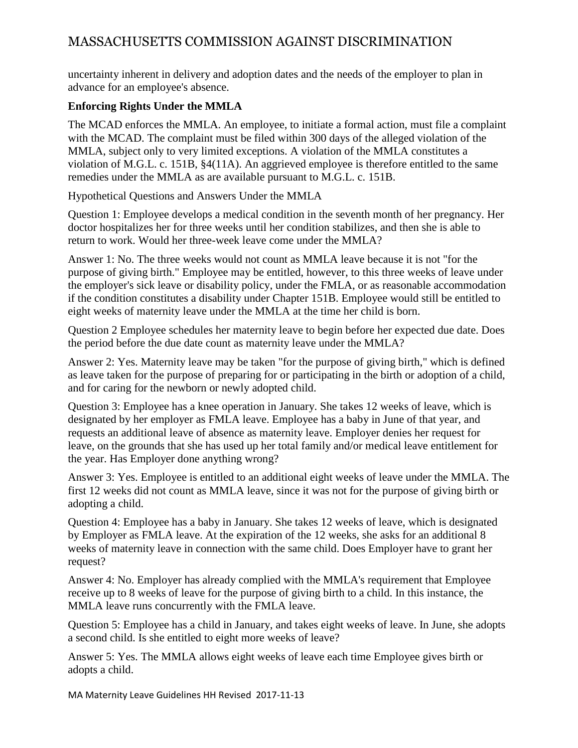uncertainty inherent in delivery and adoption dates and the needs of the employer to plan in advance for an employee's absence.

#### **Enforcing Rights Under the MMLA**

The MCAD enforces the MMLA. An employee, to initiate a formal action, must file a complaint with the MCAD. The complaint must be filed within 300 days of the alleged violation of the MMLA, subject only to very limited exceptions. A violation of the MMLA constitutes a violation of M.G.L. c. 151B, §4(11A). An aggrieved employee is therefore entitled to the same remedies under the MMLA as are available pursuant to M.G.L. c. 151B.

Hypothetical Questions and Answers Under the MMLA

Question 1: Employee develops a medical condition in the seventh month of her pregnancy. Her doctor hospitalizes her for three weeks until her condition stabilizes, and then she is able to return to work. Would her three-week leave come under the MMLA?

Answer 1: No. The three weeks would not count as MMLA leave because it is not "for the purpose of giving birth." Employee may be entitled, however, to this three weeks of leave under the employer's sick leave or disability policy, under the FMLA, or as reasonable accommodation if the condition constitutes a disability under Chapter 151B. Employee would still be entitled to eight weeks of maternity leave under the MMLA at the time her child is born.

Question 2 Employee schedules her maternity leave to begin before her expected due date. Does the period before the due date count as maternity leave under the MMLA?

Answer 2: Yes. Maternity leave may be taken "for the purpose of giving birth," which is defined as leave taken for the purpose of preparing for or participating in the birth or adoption of a child, and for caring for the newborn or newly adopted child.

Question 3: Employee has a knee operation in January. She takes 12 weeks of leave, which is designated by her employer as FMLA leave. Employee has a baby in June of that year, and requests an additional leave of absence as maternity leave. Employer denies her request for leave, on the grounds that she has used up her total family and/or medical leave entitlement for the year. Has Employer done anything wrong?

Answer 3: Yes. Employee is entitled to an additional eight weeks of leave under the MMLA. The first 12 weeks did not count as MMLA leave, since it was not for the purpose of giving birth or adopting a child.

Question 4: Employee has a baby in January. She takes 12 weeks of leave, which is designated by Employer as FMLA leave. At the expiration of the 12 weeks, she asks for an additional 8 weeks of maternity leave in connection with the same child. Does Employer have to grant her request?

Answer 4: No. Employer has already complied with the MMLA's requirement that Employee receive up to 8 weeks of leave for the purpose of giving birth to a child. In this instance, the MMLA leave runs concurrently with the FMLA leave.

Question 5: Employee has a child in January, and takes eight weeks of leave. In June, she adopts a second child. Is she entitled to eight more weeks of leave?

Answer 5: Yes. The MMLA allows eight weeks of leave each time Employee gives birth or adopts a child.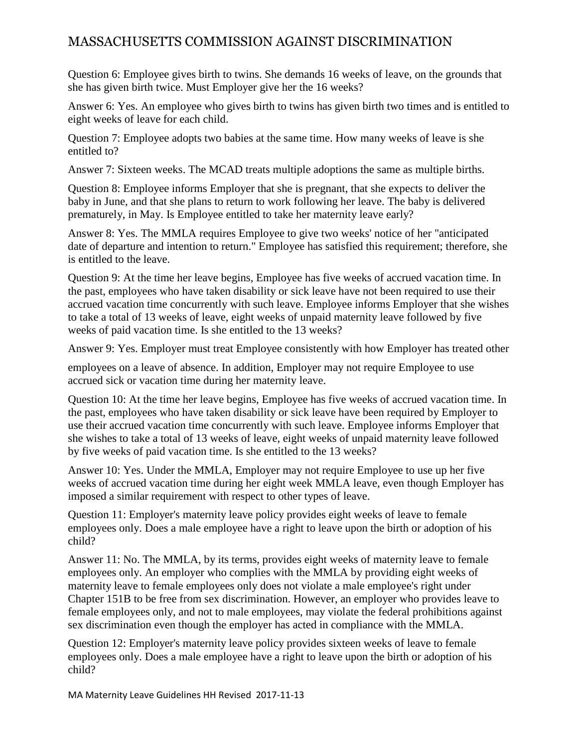Question 6: Employee gives birth to twins. She demands 16 weeks of leave, on the grounds that she has given birth twice. Must Employer give her the 16 weeks?

Answer 6: Yes. An employee who gives birth to twins has given birth two times and is entitled to eight weeks of leave for each child.

Question 7: Employee adopts two babies at the same time. How many weeks of leave is she entitled to?

Answer 7: Sixteen weeks. The MCAD treats multiple adoptions the same as multiple births.

Question 8: Employee informs Employer that she is pregnant, that she expects to deliver the baby in June, and that she plans to return to work following her leave. The baby is delivered prematurely, in May. Is Employee entitled to take her maternity leave early?

Answer 8: Yes. The MMLA requires Employee to give two weeks' notice of her "anticipated date of departure and intention to return." Employee has satisfied this requirement; therefore, she is entitled to the leave.

Question 9: At the time her leave begins, Employee has five weeks of accrued vacation time. In the past, employees who have taken disability or sick leave have not been required to use their accrued vacation time concurrently with such leave. Employee informs Employer that she wishes to take a total of 13 weeks of leave, eight weeks of unpaid maternity leave followed by five weeks of paid vacation time. Is she entitled to the 13 weeks?

Answer 9: Yes. Employer must treat Employee consistently with how Employer has treated other

employees on a leave of absence. In addition, Employer may not require Employee to use accrued sick or vacation time during her maternity leave.

Question 10: At the time her leave begins, Employee has five weeks of accrued vacation time. In the past, employees who have taken disability or sick leave have been required by Employer to use their accrued vacation time concurrently with such leave. Employee informs Employer that she wishes to take a total of 13 weeks of leave, eight weeks of unpaid maternity leave followed by five weeks of paid vacation time. Is she entitled to the 13 weeks?

Answer 10: Yes. Under the MMLA, Employer may not require Employee to use up her five weeks of accrued vacation time during her eight week MMLA leave, even though Employer has imposed a similar requirement with respect to other types of leave.

Question 11: Employer's maternity leave policy provides eight weeks of leave to female employees only. Does a male employee have a right to leave upon the birth or adoption of his child?

Answer 11: No. The MMLA, by its terms, provides eight weeks of maternity leave to female employees only. An employer who complies with the MMLA by providing eight weeks of maternity leave to female employees only does not violate a male employee's right under Chapter 151B to be free from sex discrimination. However, an employer who provides leave to female employees only, and not to male employees, may violate the federal prohibitions against sex discrimination even though the employer has acted in compliance with the MMLA.

Question 12: Employer's maternity leave policy provides sixteen weeks of leave to female employees only. Does a male employee have a right to leave upon the birth or adoption of his child?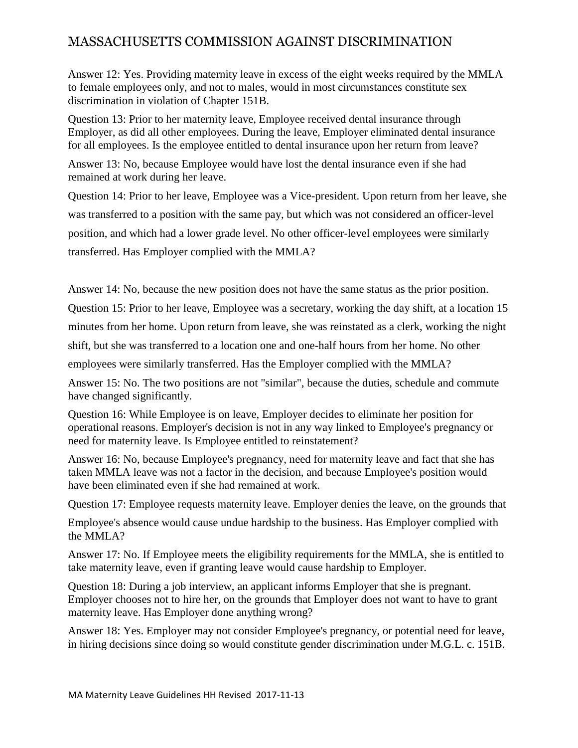Answer 12: Yes. Providing maternity leave in excess of the eight weeks required by the MMLA to female employees only, and not to males, would in most circumstances constitute sex discrimination in violation of Chapter 151B.

Question 13: Prior to her maternity leave, Employee received dental insurance through Employer, as did all other employees. During the leave, Employer eliminated dental insurance for all employees. Is the employee entitled to dental insurance upon her return from leave?

Answer 13: No, because Employee would have lost the dental insurance even if she had remained at work during her leave.

Question 14: Prior to her leave, Employee was a Vice-president. Upon return from her leave, she was transferred to a position with the same pay, but which was not considered an officer-level position, and which had a lower grade level. No other officer-level employees were similarly transferred. Has Employer complied with the MMLA?

Answer 14: No, because the new position does not have the same status as the prior position. Question 15: Prior to her leave, Employee was a secretary, working the day shift, at a location 15 minutes from her home. Upon return from leave, she was reinstated as a clerk, working the night shift, but she was transferred to a location one and one-half hours from her home. No other employees were similarly transferred. Has the Employer complied with the MMLA?

Answer 15: No. The two positions are not "similar", because the duties, schedule and commute have changed significantly.

Question 16: While Employee is on leave, Employer decides to eliminate her position for operational reasons. Employer's decision is not in any way linked to Employee's pregnancy or need for maternity leave. Is Employee entitled to reinstatement?

Answer 16: No, because Employee's pregnancy, need for maternity leave and fact that she has taken MMLA leave was not a factor in the decision, and because Employee's position would have been eliminated even if she had remained at work.

Question 17: Employee requests maternity leave. Employer denies the leave, on the grounds that

Employee's absence would cause undue hardship to the business. Has Employer complied with the MMLA?

Answer 17: No. If Employee meets the eligibility requirements for the MMLA, she is entitled to take maternity leave, even if granting leave would cause hardship to Employer.

Question 18: During a job interview, an applicant informs Employer that she is pregnant. Employer chooses not to hire her, on the grounds that Employer does not want to have to grant maternity leave. Has Employer done anything wrong?

Answer 18: Yes. Employer may not consider Employee's pregnancy, or potential need for leave, in hiring decisions since doing so would constitute gender discrimination under M.G.L. c. 151B.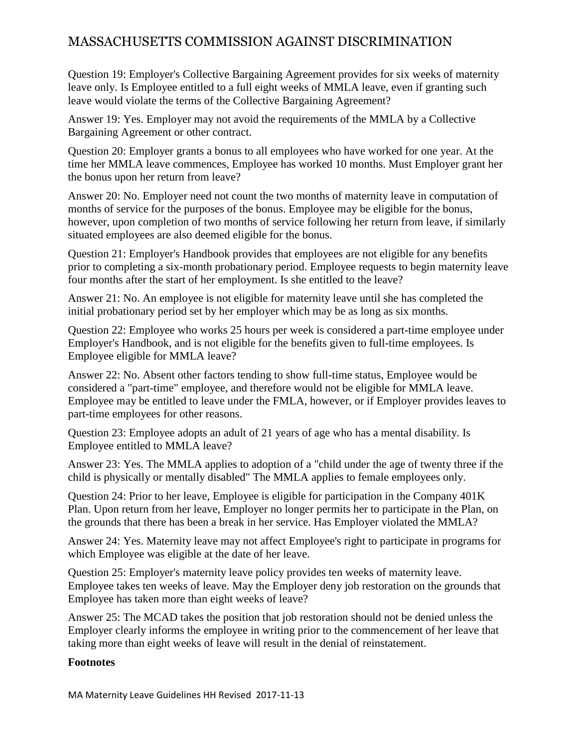Question 19: Employer's Collective Bargaining Agreement provides for six weeks of maternity leave only. Is Employee entitled to a full eight weeks of MMLA leave, even if granting such leave would violate the terms of the Collective Bargaining Agreement?

Answer 19: Yes. Employer may not avoid the requirements of the MMLA by a Collective Bargaining Agreement or other contract.

Question 20: Employer grants a bonus to all employees who have worked for one year. At the time her MMLA leave commences, Employee has worked 10 months. Must Employer grant her the bonus upon her return from leave?

Answer 20: No. Employer need not count the two months of maternity leave in computation of months of service for the purposes of the bonus. Employee may be eligible for the bonus, however, upon completion of two months of service following her return from leave, if similarly situated employees are also deemed eligible for the bonus.

Question 21: Employer's Handbook provides that employees are not eligible for any benefits prior to completing a six-month probationary period. Employee requests to begin maternity leave four months after the start of her employment. Is she entitled to the leave?

Answer 21: No. An employee is not eligible for maternity leave until she has completed the initial probationary period set by her employer which may be as long as six months.

Question 22: Employee who works 25 hours per week is considered a part-time employee under Employer's Handbook, and is not eligible for the benefits given to full-time employees. Is Employee eligible for MMLA leave?

Answer 22: No. Absent other factors tending to show full-time status, Employee would be considered a "part-time" employee, and therefore would not be eligible for MMLA leave. Employee may be entitled to leave under the FMLA, however, or if Employer provides leaves to part-time employees for other reasons.

Question 23: Employee adopts an adult of 21 years of age who has a mental disability. Is Employee entitled to MMLA leave?

Answer 23: Yes. The MMLA applies to adoption of a "child under the age of twenty three if the child is physically or mentally disabled" The MMLA applies to female employees only.

Question 24: Prior to her leave, Employee is eligible for participation in the Company 401K Plan. Upon return from her leave, Employer no longer permits her to participate in the Plan, on the grounds that there has been a break in her service. Has Employer violated the MMLA?

Answer 24: Yes. Maternity leave may not affect Employee's right to participate in programs for which Employee was eligible at the date of her leave.

Question 25: Employer's maternity leave policy provides ten weeks of maternity leave. Employee takes ten weeks of leave. May the Employer deny job restoration on the grounds that Employee has taken more than eight weeks of leave?

Answer 25: The MCAD takes the position that job restoration should not be denied unless the Employer clearly informs the employee in writing prior to the commencement of her leave that taking more than eight weeks of leave will result in the denial of reinstatement.

#### **Footnotes**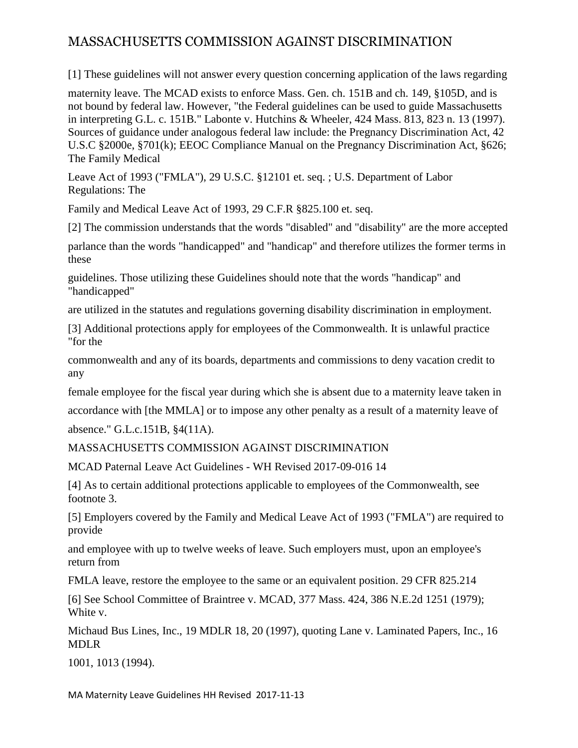[1] These guidelines will not answer every question concerning application of the laws regarding

maternity leave. The MCAD exists to enforce Mass. Gen. ch. 151B and ch. 149, §105D, and is not bound by federal law. However, "the Federal guidelines can be used to guide Massachusetts in interpreting G.L. c. 151B." Labonte v. Hutchins & Wheeler, 424 Mass. 813, 823 n. 13 (1997). Sources of guidance under analogous federal law include: the Pregnancy Discrimination Act, 42 U.S.C §2000e, §701(k); EEOC Compliance Manual on the Pregnancy Discrimination Act, §626; The Family Medical

Leave Act of 1993 ("FMLA"), 29 U.S.C. §12101 et. seq. ; U.S. Department of Labor Regulations: The

Family and Medical Leave Act of 1993, 29 C.F.R §825.100 et. seq.

[2] The commission understands that the words "disabled" and "disability" are the more accepted

parlance than the words "handicapped" and "handicap" and therefore utilizes the former terms in these

guidelines. Those utilizing these Guidelines should note that the words "handicap" and "handicapped"

are utilized in the statutes and regulations governing disability discrimination in employment.

[3] Additional protections apply for employees of the Commonwealth. It is unlawful practice "for the

commonwealth and any of its boards, departments and commissions to deny vacation credit to any

female employee for the fiscal year during which she is absent due to a maternity leave taken in

accordance with [the MMLA] or to impose any other penalty as a result of a maternity leave of absence." G.L.c.151B, §4(11A).

MASSACHUSETTS COMMISSION AGAINST DISCRIMINATION

MCAD Paternal Leave Act Guidelines - WH Revised 2017-09-016 14

[4] As to certain additional protections applicable to employees of the Commonwealth, see footnote 3.

[5] Employers covered by the Family and Medical Leave Act of 1993 ("FMLA") are required to provide

and employee with up to twelve weeks of leave. Such employers must, upon an employee's return from

FMLA leave, restore the employee to the same or an equivalent position. 29 CFR 825.214

[6] See School Committee of Braintree v. MCAD, 377 Mass. 424, 386 N.E.2d 1251 (1979); White v.

Michaud Bus Lines, Inc., 19 MDLR 18, 20 (1997), quoting Lane v. Laminated Papers, Inc., 16 MDLR

1001, 1013 (1994).